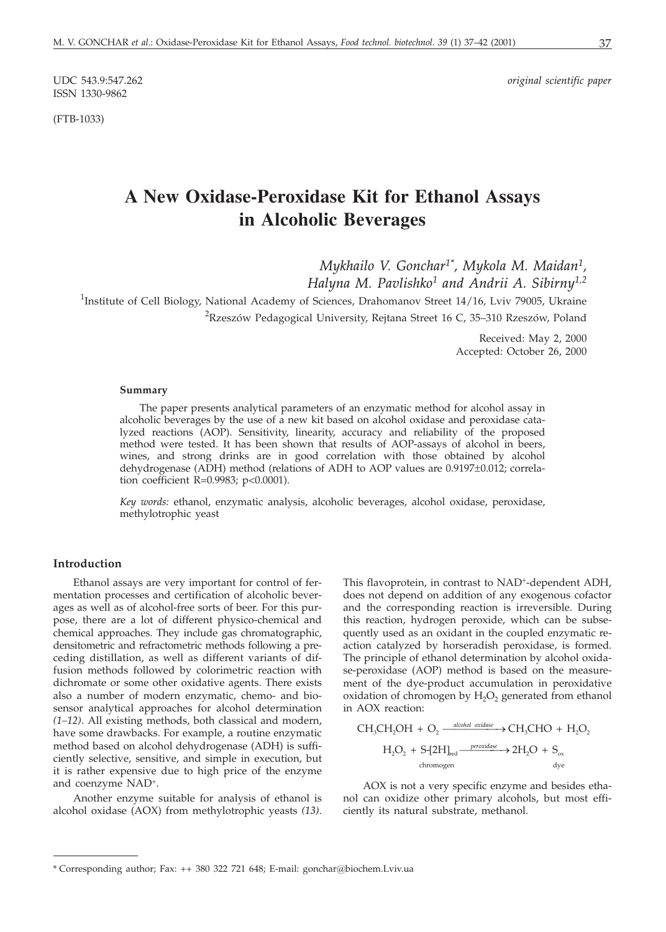ISSN 1330-9862

(FTB-1033)

UDC 543.9:547.262 *original scientific paper*

# **A New Oxidase-Peroxidase Kit for Ethanol Assays in Alcoholic Beverages**

*Mykhailo V. Gonchar1\*, Mykola M. Maidan1, Halyna M. Pavlishko1 and Andrii A. Sibirny1,2* <sup>1</sup>Institute of Cell Biology, National Academy of Sciences, Drahomanov Street 14/16, Lviv 79005, Ukraine

 $^{2}$ Rzeszów Pedagogical University, Rejtana Street 16 C, 35–310 Rzeszów, Poland

Received: May 2, 2000 Accepted: October 26, 2000

#### **Summary**

The paper presents analytical parameters of an enzymatic method for alcohol assay in alcoholic beverages by the use of a new kit based on alcohol oxidase and peroxidase catalyzed reactions (AOP). Sensitivity, linearity, accuracy and reliability of the proposed method were tested. It has been shown that results of AOP-assays of alcohol in beers, wines, and strong drinks are in good correlation with those obtained by alcohol dehydrogenase (ADH) method (relations of ADH to AOP values are  $0.9197\pm0.012$ ; correlation coefficient R=0.9983; p<0.0001).

*Key words:* ethanol, enzymatic analysis, alcoholic beverages, alcohol oxidase, peroxidase, methylotrophic yeast

#### **Introduction**

Ethanol assays are very important for control of fermentation processes and certification of alcoholic beverages as well as of alcohol-free sorts of beer. For this purpose, there are a lot of different physico-chemical and chemical approaches. They include gas chromatographic, densitometric and refractometric methods following a preceding distillation, as well as different variants of diffusion methods followed by colorimetric reaction with dichromate or some other oxidative agents. There exists also a number of modern enzymatic, chemo- and biosensor analytical approaches for alcohol determination *(1–12)*. All existing methods, both classical and modern, have some drawbacks. For example, a routine enzymatic method based on alcohol dehydrogenase (ADH) is sufficiently selective, sensitive, and simple in execution, but it is rather expensive due to high price of the enzyme and coenzyme NAD+.

Another enzyme suitable for analysis of ethanol is alcohol oxidase (AOX) from methylotrophic yeasts *(13)*.

This flavoprotein, in contrast to NAD+-dependent ADH, does not depend on addition of any exogenous cofactor and the corresponding reaction is irreversible. During this reaction, hydrogen peroxide, which can be subsequently used as an oxidant in the coupled enzymatic reaction catalyzed by horseradish peroxidase, is formed. The principle of ethanol determination by alcohol oxidase-peroxidase (AOP) method is based on the measurement of the dye-product accumulation in peroxidative oxidation of chromogen by  $H_2O_2$  generated from ethanol in AOX reaction:

$$
\begin{aligned} \mathrm{CH_{3}CH_{2}OH}\ +\ \mathrm{O_{2}} &\xrightarrow{\ \textit{alcohol oxidase}\ } \mathrm{CH_{3}CHO}\ +\ \mathrm{H_{2}O_{2}} \\ \mathrm{H_{2}O_{2}}\ +\ \mathrm{S}\text{-}{[2H]}_{\text{red}} &\xrightarrow{\ \textit{proxidase}\ } \mathrm{2H_{2}O}\ +\ \mathrm{S}_{\text{ox}} \\ \mathrm{chromogen} &\textrm{dye} \end{aligned}
$$

AOX is not a very specific enzyme and besides ethanol can oxidize other primary alcohols, but most efficiently its natural substrate, methanol.

<sup>\*</sup> Corresponding author; Fax: ++ 380 322 721 648; E-mail: gonchar@biochem.Lviv.ua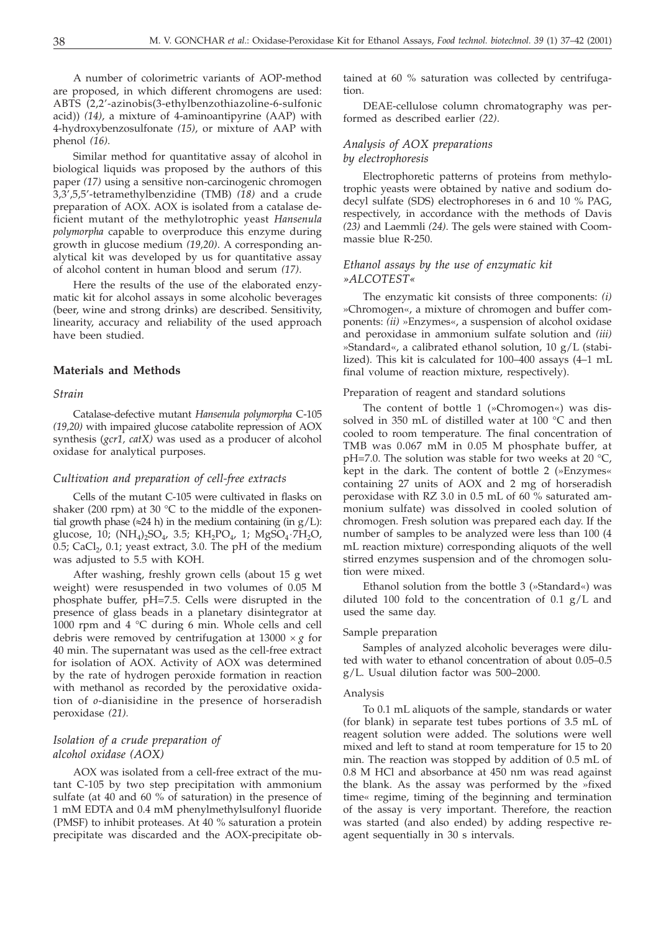A number of colorimetric variants of AOP-method are proposed, in which different chromogens are used: ABTS (2,2'-azinobis(3-ethylbenzothiazoline-6-sulfonic acid)) *(14)*, a mixture of 4-aminoantipyrine (AAP) with 4-hydroxybenzosulfonate *(15)*, or mixture of AAP with phenol *(16)*.

Similar method for quantitative assay of alcohol in biological liquids was proposed by the authors of this paper *(17)* using a sensitive non-carcinogenic chromogen 3,3',5,5'-tetramethylbenzidine (TMB) *(18)* and a crude preparation of AOX. AOX is isolated from a catalase deficient mutant of the methylotrophic yeast *Hansenula polymorpha* capable to overproduce this enzyme during growth in glucose medium *(19,20)*. A corresponding analytical kit was developed by us for quantitative assay of alcohol content in human blood and serum *(17)*.

Here the results of the use of the elaborated enzymatic kit for alcohol assays in some alcoholic beverages (beer, wine and strong drinks) are described. Sensitivity, linearity, accuracy and reliability of the used approach have been studied.

## **Materials and Methods**

#### *Strain*

Catalase-defective mutant *Hansenula polymorpha* C-105 *(19,20)* with impaired *g*lucose *c*atabolite repression of AOX synthesis (*gcr1, catX)* was used as a producer of alcohol oxidase for analytical purposes.

#### *Cultivation and preparation of cell-free extracts*

Cells of the mutant C-105 were cultivated in flasks on shaker (200 rpm) at 30  $^{\circ}$ C to the middle of the exponential growth phase ( $\approx$ 24 h) in the medium containing (in  $g/L$ ): glucose, 10;  $(NH_4)_2SO_4$ , 3.5;  $KH_2PO_4$ , 1;  $MgSO_4 \cdot 7H_2O$ , 0.5; CaCl<sub>2</sub>, 0.1; yeast extract, 3.0. The pH of the medium was adjusted to 5.5 with KOH.

After washing, freshly grown cells (about 15 g wet weight) were resuspended in two volumes of 0.05 M phosphate buffer, pH=7.5. Cells were disrupted in the presence of glass beads in a planetary disintegrator at 1000 rpm and 4 °C during 6 min. Whole cells and cell debris were removed by centrifugation at  $13000 \times g$  for 40 min. The supernatant was used as the cell-free extract for isolation of AOX. Activity of AOX was determined by the rate of hydrogen peroxide formation in reaction with methanol as recorded by the peroxidative oxidation of *o*-dianisidine in the presence of horseradish peroxidase *(21).*

## *Isolation of a crude preparation of alcohol oxidase (AOX)*

AOX was isolated from a cell-free extract of the mutant C-105 by two step precipitation with ammonium sulfate (at 40 and 60 % of saturation) in the presence of 1 mM EDTA and 0.4 mM phenylmethylsulfonyl fluoride (PMSF) to inhibit proteases. At 40 % saturation a protein precipitate was discarded and the AOX-precipitate obtained at 60 % saturation was collected by centrifugation.

DEAE-cellulose column chromatography was performed as described earlier *(22)*.

## *Analysis of AOX preparations*

## *by electrophoresis*

Electrophoretic patterns of proteins from methylotrophic yeasts were obtained by native and sodium dodecyl sulfate (SDS) electrophoreses in 6 and 10 % PAG, respectively, in accordance with the methods of Davis *(23)* and Laemmli *(24)*. The gels were stained with Coommassie blue R-250.

#### *Ethanol assays by the use of enzymatic kit »ALCOTEST«*

The enzymatic kit consists of three components: *(i)* »Chromogen«, a mixture of chromogen and buffer components: *(ii)* »Enzymes«, a suspension of alcohol oxidase and peroxidase in ammonium sulfate solution and *(iii)* »Standard«, a calibrated ethanol solution, 10 g/L (stabilized). This kit is calculated for 100–400 assays (4–1 mL final volume of reaction mixture, respectively).

#### Preparation of reagent and standard solutions

The content of bottle 1 (»Chromogen«) was dissolved in 350 mL of distilled water at 100 °C and then cooled to room temperature. The final concentration of TMB was 0.067 mM in 0.05 M phosphate buffer, at pH=7.0. The solution was stable for two weeks at 20 °C, kept in the dark. The content of bottle 2 (»Enzymes« containing 27 units of AOX and 2 mg of horseradish peroxidase with RZ 3.0 in 0.5 mL of 60 % saturated ammonium sulfate) was dissolved in cooled solution of chromogen. Fresh solution was prepared each day. If the number of samples to be analyzed were less than 100 (4 mL reaction mixture) corresponding aliquots of the well stirred enzymes suspension and of the chromogen solution were mixed.

Ethanol solution from the bottle 3 (»Standard«) was diluted 100 fold to the concentration of  $0.1$  g/L and used the same day.

#### Sample preparation

Samples of analyzed alcoholic beverages were diluted with water to ethanol concentration of about 0.05–0.5 g/L. Usual dilution factor was 500–2000.

#### Analysis

To 0.1 mL aliquots of the sample, standards or water (for blank) in separate test tubes portions of 3.5 mL of reagent solution were added. The solutions were well mixed and left to stand at room temperature for 15 to 20 min. The reaction was stopped by addition of 0.5 mL of 0.8 M HCl and absorbance at 450 nm was read against the blank. As the assay was performed by the »fixed time« regime, timing of the beginning and termination of the assay is very important. Therefore, the reaction was started (and also ended) by adding respective reagent sequentially in 30 s intervals.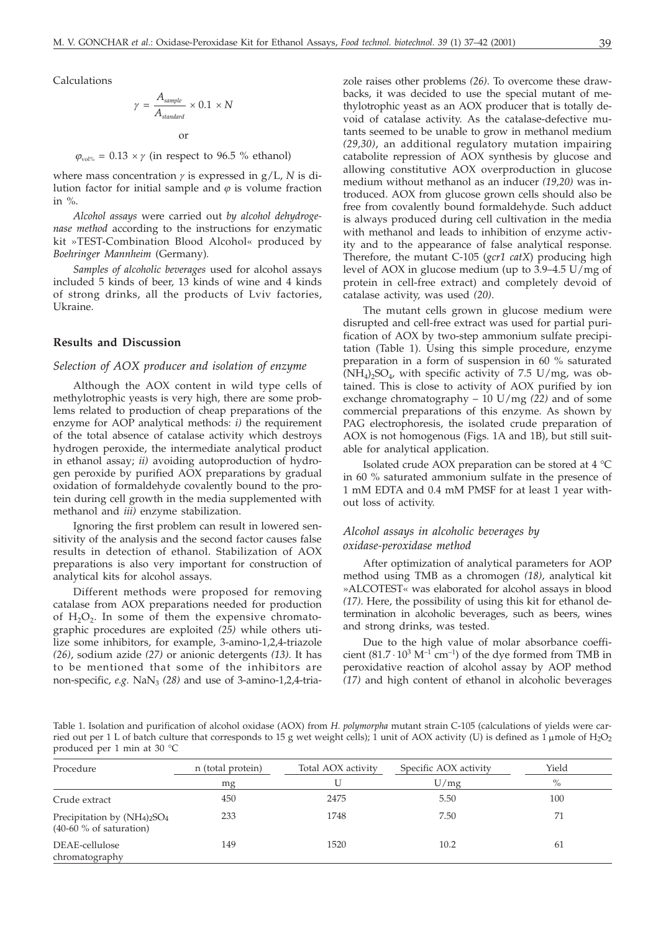Calculations

$$
\gamma = \frac{A_{sample}}{A_{standard}} \times 0.1 \times N
$$

or  $\varphi_{\text{vol\%}} = 0.13 \times \gamma$  (in respect to 96.5 % ethanol)

where mass concentration  $\gamma$  is expressed in  $g/L$ , *N* is dilution factor for initial sample and  $\varphi$  is volume fraction in  $\%$ .

*Alcohol assays* were carried out *by alcohol dehydrogenase method* according to the instructions for enzymatic kit »TEST-Combination Blood Alcohol« produced by *Boehringer Mannheim* (Germany)*.*

*Samples of alcoholic beverages* used for alcohol assays included 5 kinds of beer, 13 kinds of wine and 4 kinds of strong drinks, all the products of Lviv factories, Ukraine.

#### **Results and Discussion**

#### *Selection of AOX producer and isolation of enzyme*

Although the AOX content in wild type cells of methylotrophic yeasts is very high, there are some problems related to production of cheap preparations of the enzyme for AOP analytical methods: *i)* the requirement of the total absence of catalase activity which destroys hydrogen peroxide, the intermediate analytical product in ethanol assay; *ii)* avoiding autoproduction of hydrogen peroxide by purified AOX preparations by gradual oxidation of formaldehyde covalently bound to the protein during cell growth in the media supplemented with methanol and *iii)* enzyme stabilization.

Ignoring the first problem can result in lowered sensitivity of the analysis and the second factor causes false results in detection of ethanol. Stabilization of AOX preparations is also very important for construction of analytical kits for alcohol assays.

Different methods were proposed for removing catalase from AOX preparations needed for production of  $H_2O_2$ . In some of them the expensive chromatographic procedures are exploited *(25)* while others utilize some inhibitors, for example, 3-amino-1,2,4-triazole *(26)*, sodium azide *(27)* or anionic detergents *(13).* It has to be mentioned that some of the inhibitors are non-specific, *e.g.* NaN<sub>3</sub> (28) and use of 3-amino-1,2,4-tria-

zole raises other problems *(26)*. To overcome these drawbacks, it was decided to use the special mutant of methylotrophic yeast as an AOX producer that is totally devoid of catalase activity. As the catalase-defective mutants seemed to be unable to grow in methanol medium *(29,30)*, an additional regulatory mutation impairing catabolite repression of AOX synthesis by glucose and allowing constitutive AOX overproduction in glucose medium without methanol as an inducer *(19,20)* was introduced. AOX from glucose grown cells should also be free from covalently bound formaldehyde. Such adduct is always produced during cell cultivation in the media with methanol and leads to inhibition of enzyme activity and to the appearance of false analytical response. Therefore, the mutant C-105 (*gcr1 catX*) producing high level of AOX in glucose medium (up to 3.9–4.5 U/mg of protein in cell-free extract) and completely devoid of catalase activity, was used *(20)*.

The mutant cells grown in glucose medium were disrupted and cell-free extract was used for partial purification of AOX by two-step ammonium sulfate precipitation (Table 1). Using this simple procedure, enzyme preparation in a form of suspension in 60 % saturated  $(NH_4)_2SO_4$ , with specific activity of 7.5 U/mg, was obtained. This is close to activity of AOX purified by ion exchange chromatography – 10 U/mg *(22)* and of some commercial preparations of this enzyme. As shown by PAG electrophoresis, the isolated crude preparation of AOX is not homogenous (Figs. 1A and 1B), but still suitable for analytical application.

Isolated crude AOX preparation can be stored at 4 °C in 60 % saturated ammonium sulfate in the presence of 1 mM EDTA and 0.4 mM PMSF for at least 1 year without loss of activity.

## *Alcohol assays in alcoholic beverages by oxidase-peroxidase method*

After optimization of analytical parameters for AOP method using TMB as a chromogen *(18)*, analytical kit »ALCOTEST« was elaborated for alcohol assays in blood *(17)*. Here, the possibility of using this kit for ethanol determination in alcoholic beverages, such as beers, wines and strong drinks, was tested.

Due to the high value of molar absorbance coefficient  $(81.7 \cdot 10^3 \text{ M}^{-1} \text{ cm}^{-1})$  of the dye formed from TMB in peroxidative reaction of alcohol assay by AOP method *(17)* and high content of ethanol in alcoholic beverages

Table 1. Isolation and purification of alcohol oxidase (AOX) from *H. polymorpha* mutant strain C-105 (calculations of yields were carried out per 1 L of batch culture that corresponds to 15 g wet weight cells); 1 unit of AOX activity (U) is defined as 1 µ mole of H<sub>2</sub>O<sub>2</sub> produced per 1 min at 30 °C

| Procedure                                                    | n (total protein)<br>mg | Total AOX activity<br>U | Specific AOX activity<br>U/mg | Yield<br>$\%$ |
|--------------------------------------------------------------|-------------------------|-------------------------|-------------------------------|---------------|
|                                                              |                         |                         |                               |               |
| Precipitation by $(NH_4)_2SO_4$<br>$(40-60\%$ of saturation) | 233                     | 1748                    | 7.50                          | 71            |
| DEAE-cellulose<br>chromatography                             | 149                     | 1520                    | 10.2                          | 61            |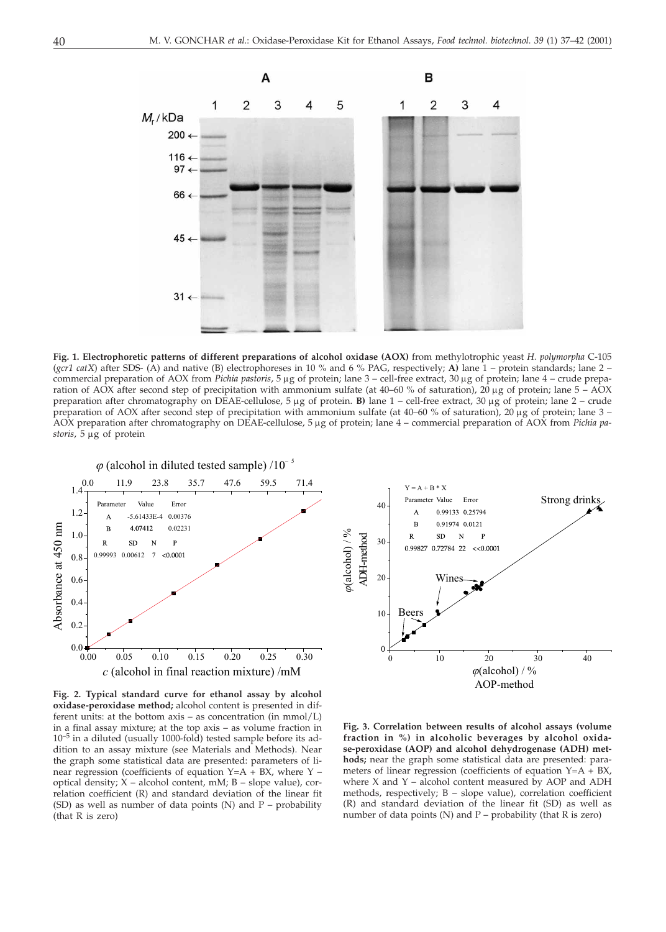

**Fig. 1. Electrophoretic patterns of different preparations of alcohol oxidase (AOX)** from methylotrophic yeast *H. polymorpha* C-105 (*gcr1 catX*) after SDS- (A) and native (B) electrophoreses in 10 % and 6 % PAG, respectively; **A)** lane 1 – protein standards; lane 2 – commercial preparation of AOX from *Pichia pastoris*, 5 µg of protein; lane 3 – cell-free extract, 30 µg of protein; lane 4 – crude preparation of AOX after second step of precipitation with ammonium sulfate (at  $40-60\%$  of saturation),  $20 \mu$ g of protein; lane  $5 - AOX$ preparation after chromatography on DEAE-cellulose, 5 µg of protein. **B**) lane 1 – cell-free extract, 30 µg of protein; lane 2 – crude preparation of AOX after second step of precipitation with ammonium sulfate (at  $40-60\%$  of saturation),  $20 \mu$ g of protein; lane  $3 -$ AOX preparation after chromatography on DEAE-cellulose, 5 µg of protein; lane 4 – commercial preparation of AOX from *Pichia pa*storis, 5 µg of protein



**Fig. 2. Typical standard curve for ethanol assay by alcohol oxidase-peroxidase method;** alcohol content is presented in different units: at the bottom axis – as concentration (in mmol/L) in a final assay mixture; at the top axis – as volume fraction in 10–5 in a diluted (usually 1000-fold) tested sample before its addition to an assay mixture (see Materials and Methods). Near the graph some statistical data are presented: parameters of linear regression (coefficients of equation Y=A + BX, where Y – optical density; X – alcohol content, mM; B – slope value), correlation coefficient (R) and standard deviation of the linear fit (SD) as well as number of data points  $(N)$  and  $P$  – probability (that R is zero)



**Fig. 3. Correlation between results of alcohol assays (volume fraction in %) in alcoholic beverages by alcohol oxidase-peroxidase (AOP) and alcohol dehydrogenase (ADH) methods;** near the graph some statistical data are presented: parameters of linear regression (coefficients of equation Y=A + BX, where X and Y – alcohol content measured by AOP and ADH methods, respectively; B – slope value), correlation coefficient (R) and standard deviation of the linear fit (SD) as well as number of data points  $(N)$  and  $P$  – probability (that R is zero)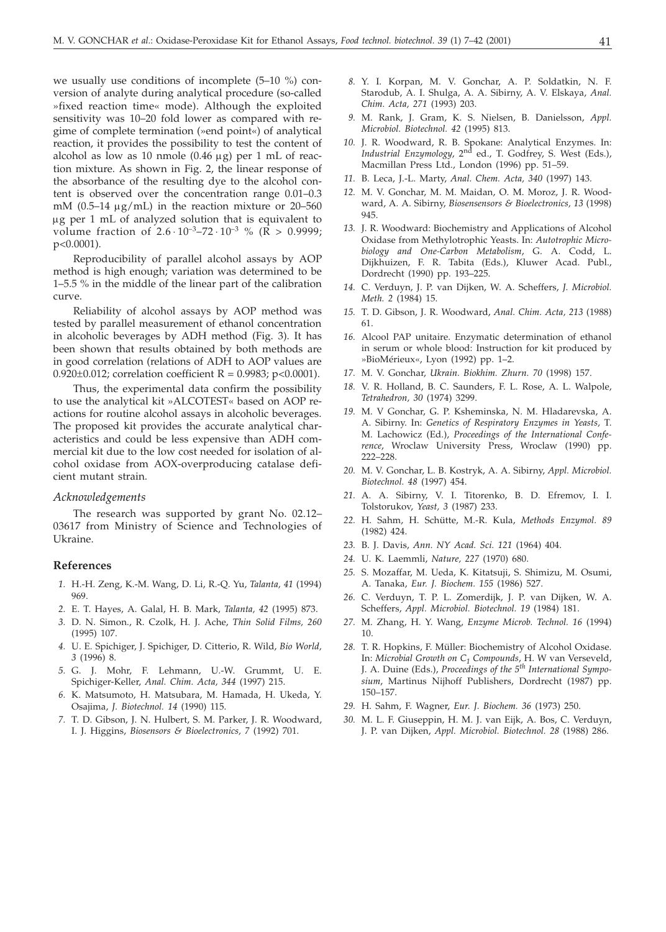we usually use conditions of incomplete (5–10 %) conversion of analyte during analytical procedure (so-called »fixed reaction time« mode). Although the exploited sensitivity was 10–20 fold lower as compared with regime of complete termination (»end point«) of analytical reaction, it provides the possibility to test the content of alcohol as low as 10 nmole (0.46  $\mu$ g) per 1 mL of reaction mixture. As shown in Fig. 2, the linear response of the absorbance of the resulting dye to the alcohol content is observed over the concentration range 0.01–0.3 mM  $(0.5-14 \mu g/mL)$  in the reaction mixture or 20-560 g per 1 mL of analyzed solution that is equivalent to volume fraction of  $2.6 \cdot 10^{-3} - 72 \cdot 10^{-3}$  % ( $\overline{R} > 0.9999$ ; p<0.0001).

Reproducibility of parallel alcohol assays by AOP method is high enough; variation was determined to be 1–5.5 % in the middle of the linear part of the calibration curve.

Reliability of alcohol assays by AOP method was tested by parallel measurement of ethanol concentration in alcoholic beverages by ADH method (Fig. 3). It has been shown that results obtained by both methods are in good correlation (relations of ADH to AOP values are 0.920 $\pm$ 0.012; correlation coefficient R = 0.9983; p<0.0001).

Thus, the experimental data confirm the possibility to use the analytical kit »ALCOTEST« based on AOP reactions for routine alcohol assays in alcoholic beverages. The proposed kit provides the accurate analytical characteristics and could be less expensive than ADH commercial kit due to the low cost needed for isolation of alcohol oxidase from AOX-overproducing catalase deficient mutant strain.

#### *Acknowledgements*

The research was supported by grant No. 02.12– 03617 from Ministry of Science and Technologies of Ukraine.

#### **References**

- *1.* H.-H. Zeng, K.-M. Wang, D. Li, R.-Q. Yu, *Talanta, 41* (1994) 969.
- *2.* E. T. Hayes, A. Galal, H. B. Mark, *Talanta, 42* (1995) 873.
- *3.* D. N. Simon., R. Czolk, H. J. Ache, *Thin Solid Films, 260* (1995) 107.
- *4.* U. E. Spichiger, J. Spichiger, D. Citterio, R. Wild, *Bio World, 3* (1996) 8.
- *5.* G. J. Mohr, F. Lehmann, U.-W. Grummt, U. E. Spichiger-Keller, *Anal. Chim. Acta, 344* (1997) 215.
- *6.* K. Matsumoto, H. Matsubara, M. Hamada, H. Ukeda, Y. Osajima, *J. Biotechnol. 14* (1990) 115.
- *7.* T. D. Gibson, J. N. Hulbert, S. M. Parker, J. R. Woodward, I. J. Higgins, *Biosensors & Bioelectronics, 7* (1992) 701.
- *8.* Y. I. Korpan, M. V. Gonchar, A. P. Soldatkin, N. F. Starodub, A. I. Shulga, A. A. Sibirny, A. V. Elskaya, *Anal. Chim. Acta, 271* (1993) 203.
- *9.* M. Rank, J. Gram, K. S. Nielsen, B. Danielsson, *Appl. Microbiol. Biotechnol. 42* (1995) 813.
- 10. J. R. Woodward, R. B. Spokane: Analytical Enzymes. In:<br>*Industrial Enzymology,* 2<sup>nd</sup> ed., T. Godfrey, S. West (Eds.), Macmillan Press Ltd., London (1996) pp. 51–59.
- *11.* B. Leca, J.-L. Marty, *Anal. Chem. Acta, 340* (1997) 143.
- *12.* M. V. Gonchar, M. M. Maidan, O. M. Moroz, J. R. Woodward, A. A. Sibirny, *Biosensensors & Bioelectronics, 13* (1998) 945.
- *13.* J. R. Woodward: Biochemistry and Applications of Alcohol Oxidase from Methylotrophic Yeasts. In: *Autotrophic Microbiology and One-Carbon Metabolism*, G. A. Codd, L. Dijkhuizen, F. R. Tabita (Eds.), Kluwer Acad. Publ., Dordrecht (1990) pp. 193–225.
- *14.* C. Verduyn, J. P. van Dijken, W. A. Scheffers, *J. Microbiol. Meth. 2* (1984) 15.
- *15.* T. D. Gibson, J. R. Woodward, *Anal. Chim. Acta, 213* (1988) 61.
- *16.* Alcool PAP unitaire. Enzymatic determination of ethanol in serum or whole blood: Instruction for kit produced by »BioMérieux«, Lyon (1992) pp. 1–2.
- *17.* M. V. Gonchar, *Ukrain. Biokhim. Zhurn. 70* (1998) 157.
- *18.* V. R. Holland, B. C. Saunders, F. L. Rose, A. L. Walpole, *Tetrahedron, 30* (1974) 3299.
- *19.* M. V Gonchar, G. P. Ksheminska, N. M. Hladarevska, A. A. Sibirny. In: *Genetics of Respiratory Enzymes in Yeasts,* T. M. Lachowicz (Ed.), *Proceedings of the International Conference*, Wroclaw University Press, Wroclaw (1990) pp. 222–228.
- *20.* M. V. Gonchar, L. B. Kostryk, A. A. Sibirny, *Appl. Microbiol. Biotechnol. 48* (1997) 454.
- *21.* A. A. Sibirny, V. I. Titorenko, B. D. Efremov, I. I. Tolstorukov, *Yeast, 3* (1987) 233.
- *22.* H. Sahm, H. Schütte, M.-R. Kula, *Methods Enzymol. 89* (1982) 424.
- *23.* B. J. Davis, *Ann. NY Acad. Sci. 121* (1964) 404.
- *24.* U. K. Laemmli, *Nature, 227* (1970) 680.
- *25.* S. Mozaffar, M. Ueda, K. Kitatsuji, S. Shimizu, M. Osumi, A. Tanaka, *Eur. J. Biochem. 155* (1986) 527.
- *26.* C. Verduyn, T. P. L. Zomerdijk, J. P. van Dijken, W. A. Scheffers, *Appl. Microbiol. Biotechnol. 19* (1984) 181.
- *27.* M. Zhang, H. Y. Wang, *Enzyme Microb. Technol. 16* (1994) 10.
- *28.* T. R. Hopkins, F. Müller: Biochemistry of Alcohol Oxidase. In: *Microbial Growth on C1 Compounds*, H. W van Verseveld, J. A. Duine (Eds.), *Proceedings of the 5th International Symposium*, Martinus Nijhoff Publishers, Dordrecht (1987) pp. 150–157.
- *29.* H. Sahm, F. Wagner, *Eur. J. Biochem. 36* (1973) 250.
- *30.* M. L. F. Giuseppin, H. M. J. van Eijk, A. Bos, C. Verduyn, J. P. van Dijken, *Appl. Microbiol. Biotechnol. 28* (1988) 286.